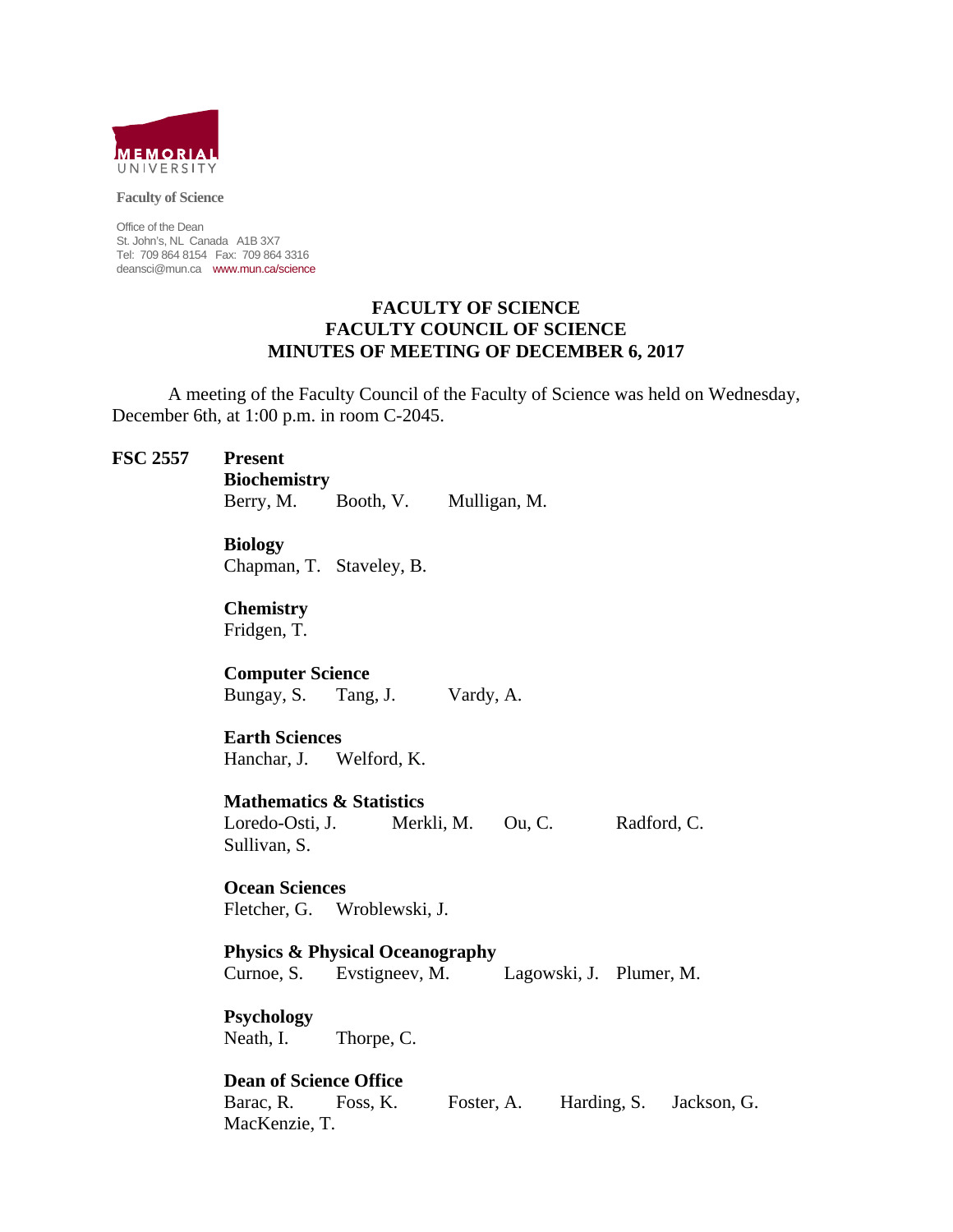

**Faculty of Science** 

Office of the Dean St. John's, NL Canada A1B 3X7 Tel: 709 864 8154 Fax: 709 864 3316 deansci@mun.ca www.mun.ca/science

#### **FACULTY OF SCIENCE FACULTY COUNCIL OF SCIENCE MINUTES OF MEETING OF DECEMBER 6, 2017**

 A meeting of the Faculty Council of the Faculty of Science was held on Wednesday, December 6th, at 1:00 p.m. in room C-2045.

#### **FSC 2557 Present**

 **Biochemistry** 

Berry, M. Booth, V. Mulligan, M.

**Biology** 

Chapman, T. Staveley, B.

**Chemistry** 

Fridgen, T.

**Computer Science** 

Bungay, S. Tang, J. Vardy, A.

**Earth Sciences** 

Hanchar, J. Welford, K.

 **Mathematics & Statistics**  Loredo-Osti, J. Merkli, M. Ou, C. Radford, C.

Sullivan, S.

**Ocean Sciences** 

Fletcher, G. Wroblewski, J.

 **Physics & Physical Oceanography** Curnoe, S. Evstigneev, M. Lagowski, J. Plumer, M.

 **Psychology**  Neath, I. Thorpe, C.

 **Dean of Science Office** Barac, R. Foss, K. Foster, A. Harding, S. Jackson, G. MacKenzie, T.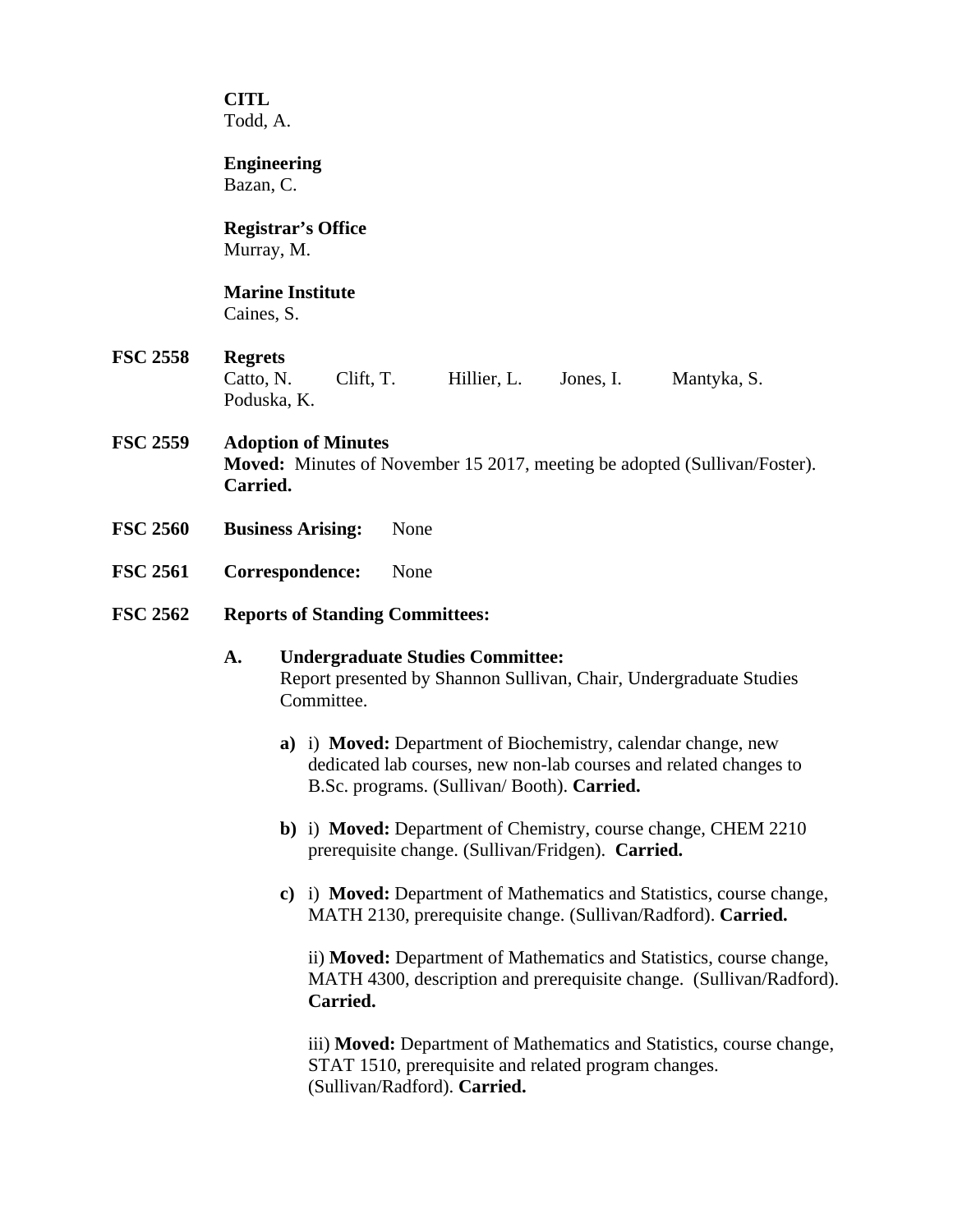**CITL** Todd, A.

 **Engineering** 

Bazan, C.

# **Registrar's Office**

Murray, M.

# **Marine Institute**

Caines, S.

# **FSC 2558 Regrets**

Catto, N. Clift, T. Hillier, L. Jones, I. Mantyka, S. Poduska, K.

# **FSC 2559 Adoption of Minutes**

**Moved:** Minutes of November 15 2017, meeting be adopted (Sullivan/Foster). **Carried.** 

- **FSC 2560 Business Arising:** None
- **FSC 2561 Correspondence:** None
- **FSC 2562 Reports of Standing Committees:**

# **A. Undergraduate Studies Committee:**  Report presented by Shannon Sullivan, Chair, Undergraduate Studies Committee.

- **a)** i) **Moved:** Department of Biochemistry, calendar change, new dedicated lab courses, new non-lab courses and related changes to B.Sc. programs. (Sullivan/ Booth). **Carried.**
- **b)** i) **Moved:** Department of Chemistry, course change, CHEM 2210 prerequisite change. (Sullivan/Fridgen). **Carried.**
- **c)** i) **Moved:** Department of Mathematics and Statistics, course change, MATH 2130, prerequisite change. (Sullivan/Radford). **Carried.**

ii) **Moved:** Department of Mathematics and Statistics, course change, MATH 4300, description and prerequisite change. (Sullivan/Radford). **Carried.** 

iii) **Moved:** Department of Mathematics and Statistics, course change, STAT 1510, prerequisite and related program changes. (Sullivan/Radford). **Carried.**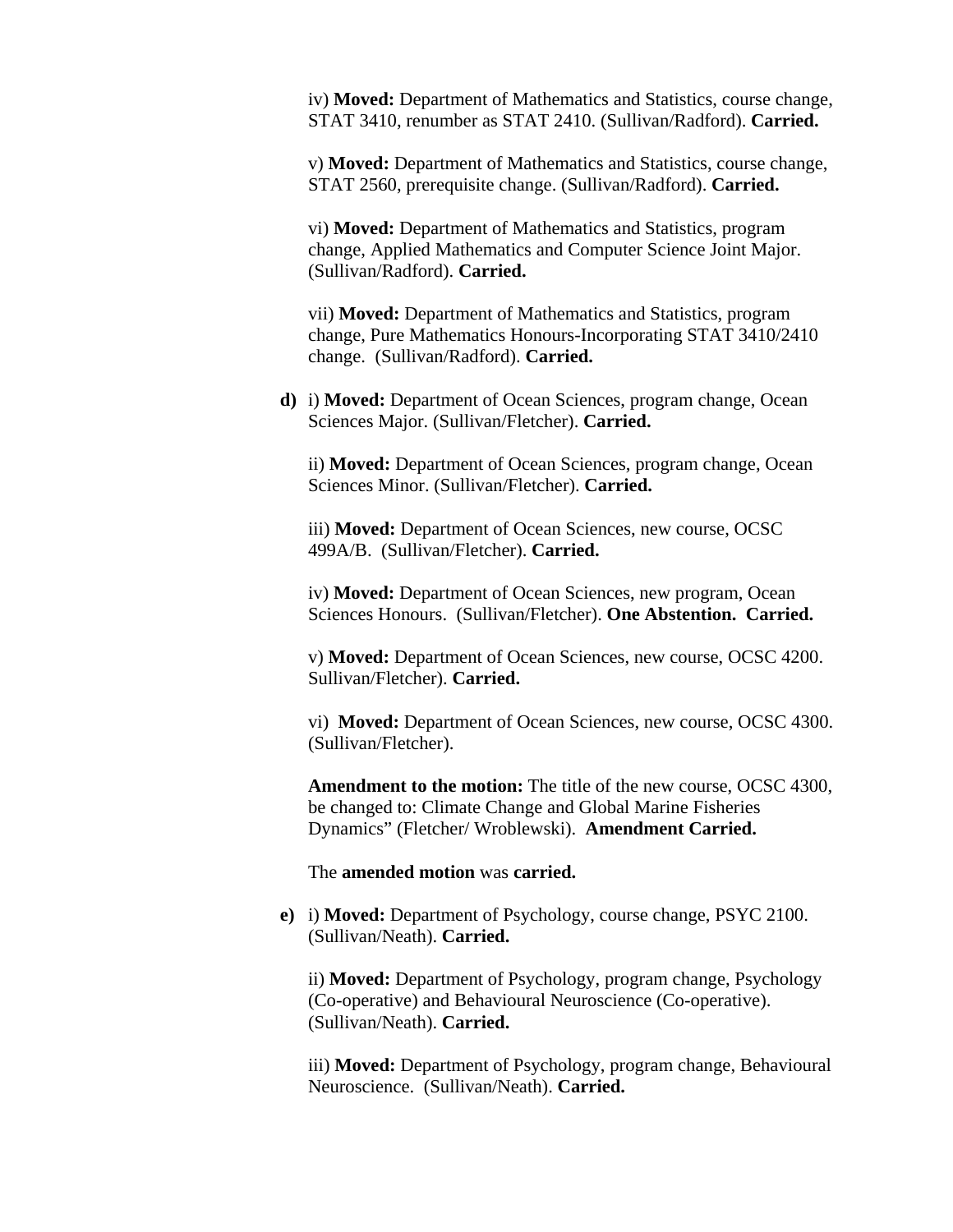iv) **Moved:** Department of Mathematics and Statistics, course change, STAT 3410, renumber as STAT 2410. (Sullivan/Radford). **Carried.** 

v) **Moved:** Department of Mathematics and Statistics, course change, STAT 2560, prerequisite change. (Sullivan/Radford). **Carried.**

vi) **Moved:** Department of Mathematics and Statistics, program change, Applied Mathematics and Computer Science Joint Major. (Sullivan/Radford). **Carried.** 

vii) **Moved:** Department of Mathematics and Statistics, program change, Pure Mathematics Honours-Incorporating STAT 3410/2410 change. (Sullivan/Radford). **Carried.** 

**d)** i) **Moved:** Department of Ocean Sciences, program change, Ocean Sciences Major. (Sullivan/Fletcher). **Carried.** 

ii) **Moved:** Department of Ocean Sciences, program change, Ocean Sciences Minor. (Sullivan/Fletcher). **Carried.** 

iii) **Moved:** Department of Ocean Sciences, new course, OCSC 499A/B. (Sullivan/Fletcher). **Carried.** 

iv) **Moved:** Department of Ocean Sciences, new program, Ocean Sciences Honours. (Sullivan/Fletcher). **One Abstention. Carried.** 

v) **Moved:** Department of Ocean Sciences, new course, OCSC 4200. Sullivan/Fletcher). **Carried.** 

vi) **Moved:** Department of Ocean Sciences, new course, OCSC 4300. (Sullivan/Fletcher).

**Amendment to the motion:** The title of the new course, OCSC 4300, be changed to: Climate Change and Global Marine Fisheries Dynamics" (Fletcher/ Wroblewski). **Amendment Carried.** 

The **amended motion** was **carried.** 

**e)** i) **Moved:** Department of Psychology, course change, PSYC 2100. (Sullivan/Neath). **Carried.** 

ii) **Moved:** Department of Psychology, program change, Psychology (Co-operative) and Behavioural Neuroscience (Co-operative). (Sullivan/Neath). **Carried.** 

iii) **Moved:** Department of Psychology, program change, Behavioural Neuroscience. (Sullivan/Neath). **Carried.**